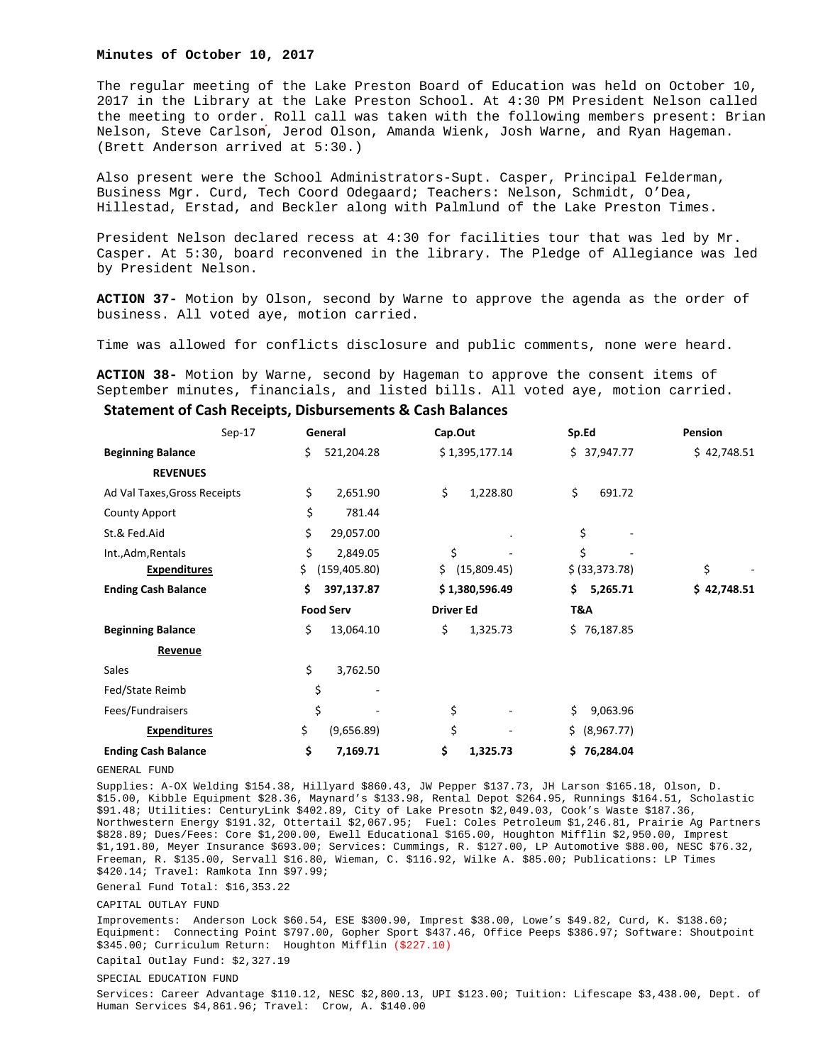### **Minutes of October 10, 2017**

The regular meeting of the Lake Preston Board of Education was held on October 10, 2017 in the Library at the Lake Preston School. At 4:30 PM President Nelson called the meeting to order. Roll call was taken with the following members present: Brian Nelson, Steve Carlson, Jerod Olson, Amanda Wienk, Josh Warne, and Ryan Hageman. (Brett Anderson arrived at 5:30.)

Also present were the School Administrators-Supt. Casper, Principal Felderman, Business Mgr. Curd, Tech Coord Odegaard; Teachers: Nelson, Schmidt, O'Dea, Hillestad, Erstad, and Beckler along with Palmlund of the Lake Preston Times.

President Nelson declared recess at 4:30 for facilities tour that was led by Mr. Casper. At 5:30, board reconvened in the library. The Pledge of Allegiance was led by President Nelson.

**ACTION 37-** Motion by Olson, second by Warne to approve the agenda as the order of business. All voted aye, motion carried.

Time was allowed for conflicts disclosure and public comments, none were heard.

**ACTION 38-** Motion by Warne, second by Hageman to approve the consent items of September minutes, financials, and listed bills. All voted aye, motion carried.

# **Statement of Cash Receipts, Disbursements & Cash Balances**

|                              | Sep-17 | General              | Cap.Out            | Sp.Ed             | Pension     |
|------------------------------|--------|----------------------|--------------------|-------------------|-------------|
| <b>Beginning Balance</b>     |        | \$<br>521,204.28     | \$1,395,177.14     | \$37,947.77       | \$42,748.51 |
| <b>REVENUES</b>              |        |                      |                    |                   |             |
| Ad Val Taxes, Gross Receipts |        | \$<br>2,651.90       | \$<br>1,228.80     | \$<br>691.72      |             |
| <b>County Apport</b>         |        | \$<br>781.44         |                    |                   |             |
| St.& Fed.Aid                 |        | \$<br>29,057.00      | $\bullet$          | \$                |             |
| Int., Adm, Rentals           |        | \$<br>2,849.05       | \$                 | \$                |             |
| <b>Expenditures</b>          |        | \$.<br>(159, 405.80) | \$.<br>(15,809.45) | \$ (33, 373.78)   | \$          |
| <b>Ending Cash Balance</b>   |        | \$<br>397,137.87     | \$1,380,596.49     | \$.<br>5,265.71   | \$42,748.51 |
|                              |        | <b>Food Serv</b>     | <b>Driver Ed</b>   | T&A               |             |
| <b>Beginning Balance</b>     |        | \$<br>13,064.10      | \$<br>1,325.73     | \$76,187.85       |             |
| Revenue                      |        |                      |                    |                   |             |
| Sales                        |        | \$<br>3,762.50       |                    |                   |             |
| Fed/State Reimb              |        | \$                   |                    |                   |             |
| Fees/Fundraisers             |        | \$                   | \$                 | \$<br>9,063.96    |             |
| <b>Expenditures</b>          |        | \$<br>(9,656.89)     | \$                 | \$.<br>(8,967.77) |             |
| <b>Ending Cash Balance</b>   |        | \$<br>7,169.71       | \$<br>1,325.73     | 76,284.04<br>\$   |             |

#### GENERAL FUND

Supplies: A-OX Welding \$154.38, Hillyard \$860.43, JW Pepper \$137.73, JH Larson \$165.18, Olson, D. \$15.00, Kibble Equipment \$28.36, Maynard's \$133.98, Rental Depot \$264.95, Runnings \$164.51, Scholastic \$91.48; Utilities: CenturyLink \$402.89, City of Lake Presotn \$2,049.03, Cook's Waste \$187.36, Northwestern Energy \$191.32, Ottertail \$2,067.95; Fuel: Coles Petroleum \$1,246.81, Prairie Ag Partners \$828.89; Dues/Fees: Core \$1,200.00, Ewell Educational \$165.00, Houghton Mifflin \$2,950.00, Imprest \$1,191.80, Meyer Insurance \$693.00; Services: Cummings, R. \$127.00, LP Automotive \$88.00, NESC \$76.32, Freeman, R. \$135.00, Servall \$16.80, Wieman, C. \$116.92, Wilke A. \$85.00; Publications: LP Times \$420.14; Travel: Ramkota Inn \$97.99;

General Fund Total: \$16,353.22

### CAPITAL OUTLAY FUND

Improvements: Anderson Lock \$60.54, ESE \$300.90, Imprest \$38.00, Lowe's \$49.82, Curd, K. \$138.60; Equipment: Connecting Point \$797.00, Gopher Sport \$437.46, Office Peeps \$386.97; Software: Shoutpoint \$345.00; Curriculum Return: Houghton Mifflin (\$227.10)

Capital Outlay Fund: \$2,327.19

SPECIAL EDUCATION FUND

Services: Career Advantage \$110.12, NESC \$2,800.13, UPI \$123.00; Tuition: Lifescape \$3,438.00, Dept. of Human Services \$4,861.96; Travel: Crow, A. \$140.00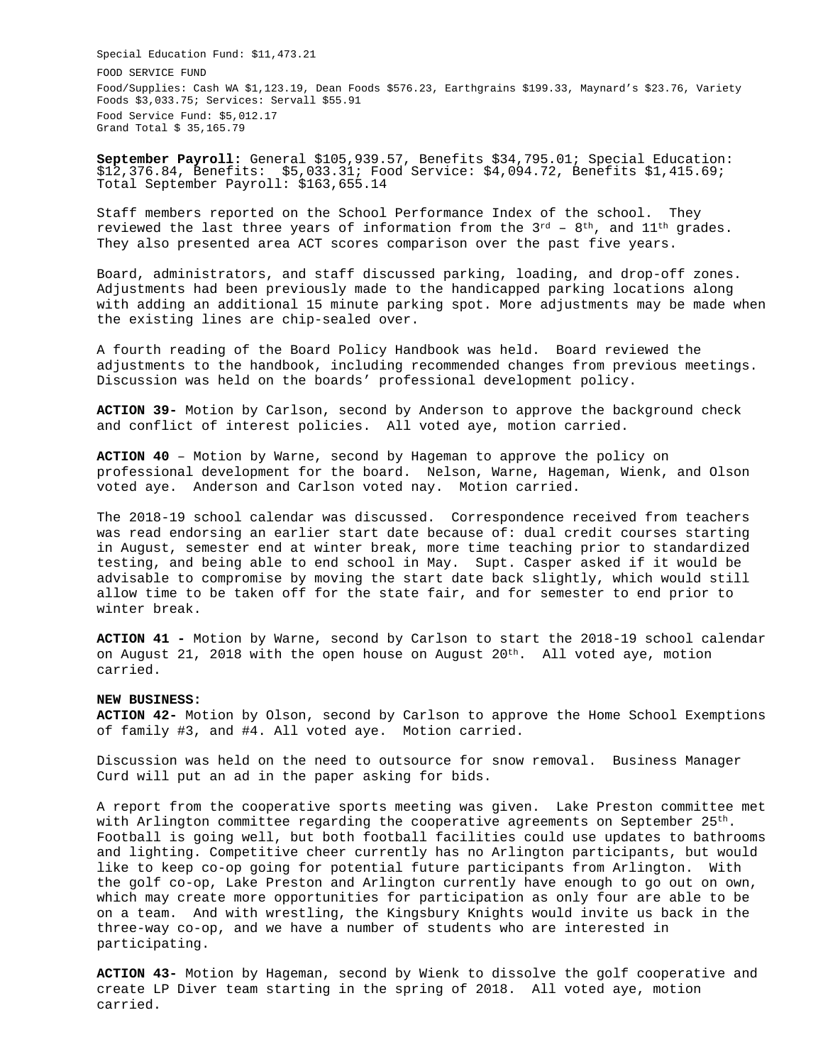Special Education Fund: \$11,473.21 FOOD SERVICE FUND Food/Supplies: Cash WA \$1,123.19, Dean Foods \$576.23, Earthgrains \$199.33, Maynard's \$23.76, Variety Foods \$3,033.75; Services: Servall \$55.91 Food Service Fund: \$5,012.17 Grand Total \$ 35,165.79

**September Payroll:** General \$105,939.57, Benefits \$34,795.01; Special Education: \$12,376.84, Benefits: \$5,033.31; Food Service: \$4,094.72, Benefits \$1,415.69; Total September Payroll: \$163,655.14

Staff members reported on the School Performance Index of the school. They reviewed the last three years of information from the  $3^{rd}$  -  $8^{th}$ , and  $11^{th}$  grades. They also presented area ACT scores comparison over the past five years.

Board, administrators, and staff discussed parking, loading, and drop-off zones. Adjustments had been previously made to the handicapped parking locations along with adding an additional 15 minute parking spot. More adjustments may be made when the existing lines are chip-sealed over.

A fourth reading of the Board Policy Handbook was held. Board reviewed the adjustments to the handbook, including recommended changes from previous meetings. Discussion was held on the boards' professional development policy.

**ACTION 39-** Motion by Carlson, second by Anderson to approve the background check and conflict of interest policies. All voted aye, motion carried.

**ACTION 40** – Motion by Warne, second by Hageman to approve the policy on professional development for the board. Nelson, Warne, Hageman, Wienk, and Olson voted aye. Anderson and Carlson voted nay. Motion carried.

The 2018-19 school calendar was discussed. Correspondence received from teachers was read endorsing an earlier start date because of: dual credit courses starting in August, semester end at winter break, more time teaching prior to standardized testing, and being able to end school in May. Supt. Casper asked if it would be advisable to compromise by moving the start date back slightly, which would still allow time to be taken off for the state fair, and for semester to end prior to winter break.

**ACTION 41 -** Motion by Warne, second by Carlson to start the 2018-19 school calendar on August 21, 2018 with the open house on August  $20^{th}$ . All voted aye, motion carried.

## **NEW BUSINESS:**

**ACTION 42-** Motion by Olson, second by Carlson to approve the Home School Exemptions of family #3, and #4. All voted aye. Motion carried.

Discussion was held on the need to outsource for snow removal. Business Manager Curd will put an ad in the paper asking for bids.

A report from the cooperative sports meeting was given. Lake Preston committee met with Arlington committee regarding the cooperative agreements on September  $25<sup>th</sup>$ . Football is going well, but both football facilities could use updates to bathrooms and lighting. Competitive cheer currently has no Arlington participants, but would like to keep co-op going for potential future participants from Arlington. With the golf co-op, Lake Preston and Arlington currently have enough to go out on own, which may create more opportunities for participation as only four are able to be on a team. And with wrestling, the Kingsbury Knights would invite us back in the three-way co-op, and we have a number of students who are interested in participating.

**ACTION 43-** Motion by Hageman, second by Wienk to dissolve the golf cooperative and create LP Diver team starting in the spring of 2018. All voted aye, motion carried.